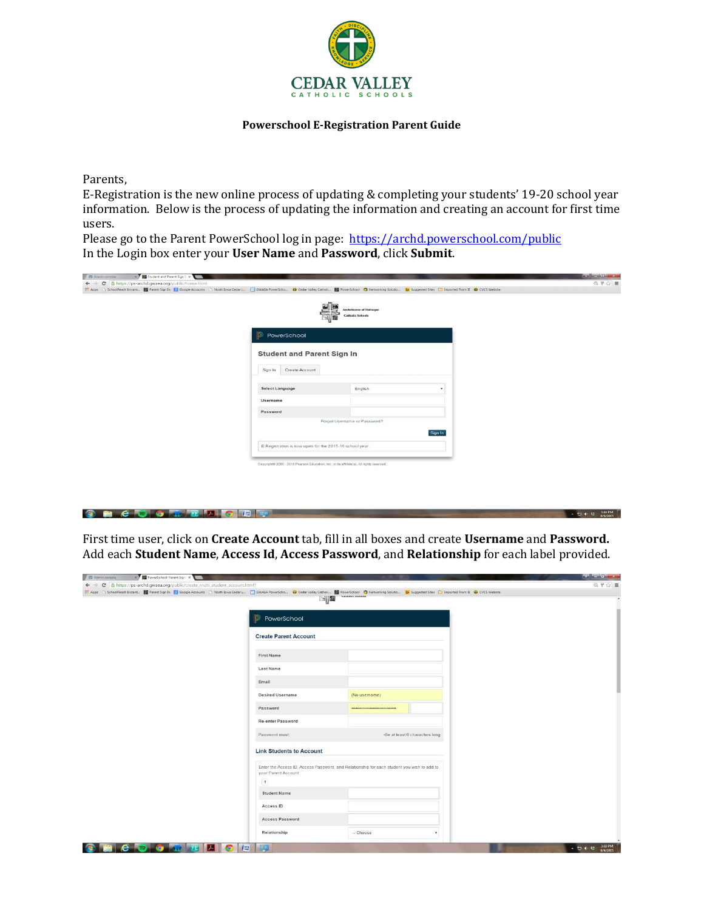

## **Powerschool E-Registration Parent Guide**

Parents,

E-Registration is the new online process of updating & completing your students' 19-20 school year information. Below is the process of updating the information and creating an account for first time users.

Please go to the Parent PowerSchool log in page: <https://archd.powerschool.com/public> In the Login box enter your **User Name** and **Password**, click **Submit**.

| X Student and Parent Sign i. X<br>O Admin console   |                                                                                           |                                                                                                                                                                                                                     | <b>College Committee</b>    |
|-----------------------------------------------------|-------------------------------------------------------------------------------------------|---------------------------------------------------------------------------------------------------------------------------------------------------------------------------------------------------------------------|-----------------------------|
| ← → C B https://ps-archd.gwaea.org/public/home.html |                                                                                           |                                                                                                                                                                                                                     | $Q$ $\uparrow$ $Q$ $\equiv$ |
|                                                     |                                                                                           | HE Apps [1] SchoolReach Instant   Parent Sign In   B Google Accounts [1] North Iowa Cedar L.   GWAEA PowerScho   Cedar Valley Catholi     PowerSchool   D Networking Solutio         Suggested Sites       Imported |                             |
|                                                     |                                                                                           | er<br>Br<br><b>Archdiocese of Dubuque</b>                                                                                                                                                                           |                             |
|                                                     |                                                                                           | <b>Catholic Schools</b>                                                                                                                                                                                             |                             |
|                                                     | <b>PowerSchool</b>                                                                        |                                                                                                                                                                                                                     |                             |
|                                                     |                                                                                           |                                                                                                                                                                                                                     |                             |
|                                                     | <b>Student and Parent Sign In</b>                                                         |                                                                                                                                                                                                                     |                             |
|                                                     |                                                                                           |                                                                                                                                                                                                                     |                             |
|                                                     | Create Account<br>Sign In                                                                 |                                                                                                                                                                                                                     |                             |
|                                                     | Select Language                                                                           | English<br>$\cdot$                                                                                                                                                                                                  |                             |
|                                                     | Username                                                                                  |                                                                                                                                                                                                                     |                             |
|                                                     | Password                                                                                  |                                                                                                                                                                                                                     |                             |
|                                                     |                                                                                           | Forgot Username or Password?                                                                                                                                                                                        |                             |
|                                                     |                                                                                           | Sign In                                                                                                                                                                                                             |                             |
|                                                     | E-Registration is now open for the 2015-16 school year.                                   |                                                                                                                                                                                                                     |                             |
|                                                     |                                                                                           |                                                                                                                                                                                                                     |                             |
|                                                     | Copyright® 2005 - 2015 Pearson Education, Inc., or its affiliate(s). All rights reserved. |                                                                                                                                                                                                                     |                             |
|                                                     |                                                                                           |                                                                                                                                                                                                                     |                             |

## **BECDORTHOD**

First time user, click on **Create Account** tab, fill in all boxes and create **Username** and **Password.**  Add each **Student Name**, **Access Id**, **Access Password**, and **Relationship** for each label provided.

| K PowerSchool: Parent Sign X<br>Admin console<br>← → C & https://ps-archd.gwaea.org/public/create_multi_student_account.html?                                                                                      |                                 |                                                                                            |                                | $Q \nmid \varphi \rangle \equiv$ |
|--------------------------------------------------------------------------------------------------------------------------------------------------------------------------------------------------------------------|---------------------------------|--------------------------------------------------------------------------------------------|--------------------------------|----------------------------------|
| [1] Apps [ ] SchoolReach Instant   Parent Sign In [ N] Google Accounts [ ] North Iowa Cedar L. [ ] GWAEA PowerScho D Codar Valley Catholi   2 PowerSchool   D Networking Solutio   D. Suggested Sites: [ ] Importe |                                 |                                                                                            |                                |                                  |
|                                                                                                                                                                                                                    |                                 | <b>EN THE</b>                                                                              |                                |                                  |
|                                                                                                                                                                                                                    | D)<br>PowerSchool               |                                                                                            |                                |                                  |
|                                                                                                                                                                                                                    | <b>Create Parent Account</b>    |                                                                                            |                                |                                  |
|                                                                                                                                                                                                                    | <b>First Name</b>               |                                                                                            |                                |                                  |
|                                                                                                                                                                                                                    | Last Name                       |                                                                                            |                                |                                  |
|                                                                                                                                                                                                                    | Email                           |                                                                                            |                                |                                  |
|                                                                                                                                                                                                                    | Desired Username                | (No usemame)                                                                               |                                |                                  |
|                                                                                                                                                                                                                    | Password                        |                                                                                            |                                |                                  |
|                                                                                                                                                                                                                    | Re-enter Password               |                                                                                            |                                |                                  |
|                                                                                                                                                                                                                    | Password must                   |                                                                                            | .Be at least 6 characters long |                                  |
|                                                                                                                                                                                                                    | <b>Link Students to Account</b> |                                                                                            |                                |                                  |
|                                                                                                                                                                                                                    | your Parent Account<br>1        | Enter the Access ID, Access Password, and Relationship for each student you wish to add to |                                |                                  |
|                                                                                                                                                                                                                    | <b>Student Name</b>             |                                                                                            |                                |                                  |
|                                                                                                                                                                                                                    | Access ID                       |                                                                                            |                                |                                  |
|                                                                                                                                                                                                                    | Access Password                 |                                                                                            |                                |                                  |
|                                                                                                                                                                                                                    | Relationship                    | $-$ Choose                                                                                 |                                |                                  |
| <b>C S O M E A O E</b><br>r en                                                                                                                                                                                     | 23                              |                                                                                            |                                | 3:59 PM<br>8/4/2015<br>- 四中村     |